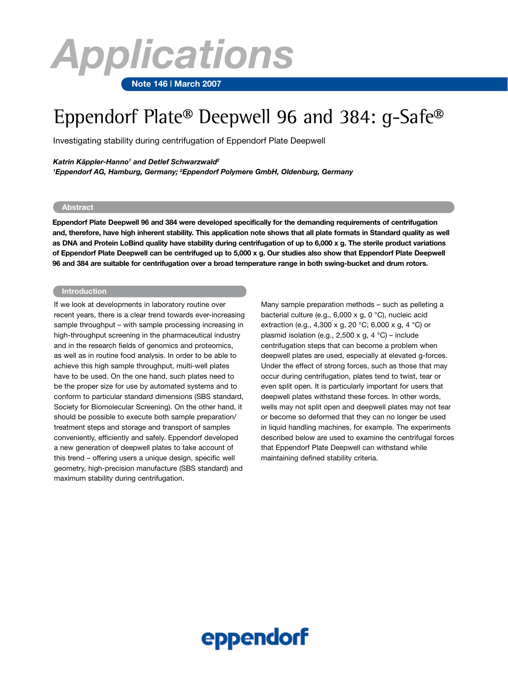# *Applications*

#### **Note 146 | March 2007**

## Eppendorf Plate® Deepwell 96 and 384: g-Safe®

Investigating stability during centrifugation of Eppendorf Plate Deepwell

#### *Katrin Käppler-Hanno1 and Detlef Schwarzwald2*

*1 Eppendorf AG, Hamburg, Germany; 2 Eppendorf Polymere GmbH, Oldenburg, Germany*

### **Abstract**

**Eppendorf Plate Deepwell 96 and 384 were developed specifically for the demanding requirements of centrifugation and, therefore, have high inherent stability. This application note shows that all plate formats in Standard quality as well as DNA and Protein LoBind quality have stability during centrifugation of up to 6,000 x g. The sterile product variations of Eppendorf Plate Deepwell can be centrifuged up to 5,000 x g. Our studies also show that Eppendorf Plate Deepwell 96 and 384 are suitable for centrifugation over a broad temperature range in both swing-bucket and drum rotors.**

#### **Introduction**

If we look at developments in laboratory routine over recent years, there is a clear trend towards ever-increasing sample throughput – with sample processing increasing in high-throughput screening in the pharmaceutical industry and in the research fields of genomics and proteomics, as well as in routine food analysis. In order to be able to achieve this high sample throughput, multi-well plates have to be used. On the one hand, such plates need to be the proper size for use by automated systems and to conform to particular standard dimensions (SBS standard, Society for Biomolecular Screening). On the other hand, it should be possible to execute both sample preparation/ treatment steps and storage and transport of samples conveniently, efficiently and safely. Eppendorf developed a new generation of deepwell plates to take account of this trend – offering users a unique design, specific well geometry, high-precision manufacture (SBS standard) and maximum stability during centrifugation.

Many sample preparation methods – such as pelleting a bacterial culture (e.g., 6,000 x g, 0 °C), nucleic acid extraction (e.g., 4,300 x g, 20 °C; 6,000 x g, 4 °C) or plasmid isolation (e.g., 2,500 x g, 4 °C) – include centrifugation steps that can become a problem when deepwell plates are used, especially at elevated g-forces. Under the effect of strong forces, such as those that may occur during centrifugation, plates tend to twist, tear or even split open. It is particularly important for users that deepwell plates withstand these forces. In other words, wells may not split open and deepwell plates may not tear or become so deformed that they can no longer be used in liquid handling machines, for example. The experiments described below are used to examine the centrifugal forces that Eppendorf Plate Deepwell can withstand while maintaining defined stability criteria.

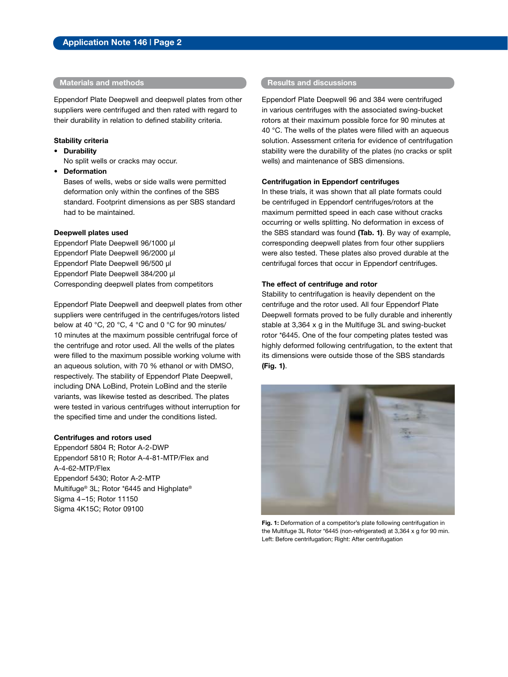Eppendorf Plate Deepwell and deepwell plates from other suppliers were centrifuged and then rated with regard to their durability in relation to defined stability criteria.

#### **Stability criteria**

**• Durability**

No split wells or cracks may occur.

**• Deformation**

Bases of wells, webs or side walls were permitted deformation only within the confines of the SBS standard. Footprint dimensions as per SBS standard had to be maintained.

#### **Deepwell plates used**

Eppendorf Plate Deepwell 96/1000 µl Eppendorf Plate Deepwell 96/2000 µl Eppendorf Plate Deepwell 96/500 µl Eppendorf Plate Deepwell 384/200 µl Corresponding deepwell plates from competitors

Eppendorf Plate Deepwell and deepwell plates from other suppliers were centrifuged in the centrifuges/rotors listed below at 40 °C, 20 °C, 4 °C and 0 °C for 90 minutes/ 10 minutes at the maximum possible centrifugal force of the centrifuge and rotor used. All the wells of the plates were filled to the maximum possible working volume with an aqueous solution, with 70 % ethanol or with DMSO, respectively. The stability of Eppendorf Plate Deepwell, including DNA LoBind, Protein LoBind and the sterile variants, was likewise tested as described. The plates were tested in various centrifuges without interruption for the specified time and under the conditions listed.

#### **Centrifuges and rotors used**

Eppendorf 5804 R; Rotor A-2-DWP Eppendorf 5810 R; Rotor A-4-81-MTP/Flex and A-4-62-MTP/Flex Eppendorf 5430; Rotor A-2-MTP Multifuge® 3L; Rotor \*6445 and Highplate® Sigma 4–15; Rotor 11150 Sigma 4K15C; Rotor 09100

#### **Materials and methods Results and discussions**

Eppendorf Plate Deepwell 96 and 384 were centrifuged in various centrifuges with the associated swing-bucket rotors at their maximum possible force for 90 minutes at 40 °C. The wells of the plates were filled with an aqueous solution. Assessment criteria for evidence of centrifugation stability were the durability of the plates (no cracks or split wells) and maintenance of SBS dimensions.

#### **Centrifugation in Eppendorf centrifuges**

In these trials, it was shown that all plate formats could be centrifuged in Eppendorf centrifuges/rotors at the maximum permitted speed in each case without cracks occurring or wells splitting. No deformation in excess of the SBS standard was found **(Tab. 1)**. By way of example, corresponding deepwell plates from four other suppliers were also tested. These plates also proved durable at the centrifugal forces that occur in Eppendorf centrifuges.

#### **The effect of centrifuge and rotor**

Stability to centrifugation is heavily dependent on the centrifuge and the rotor used. All four Eppendorf Plate Deepwell formats proved to be fully durable and inherently stable at 3,364 x g in the Multifuge 3L and swing-bucket rotor \*6445. One of the four competing plates tested was highly deformed following centrifugation, to the extent that its dimensions were outside those of the SBS standards **(Fig. 1)**.



**Fig. 1:** Deformation of a competitor's plate following centrifugation in the Multifuge 3L Rotor \*6445 (non-refrigerated) at 3,364 x g for 90 min. Left: Before centrifugation; Right: After centrifugation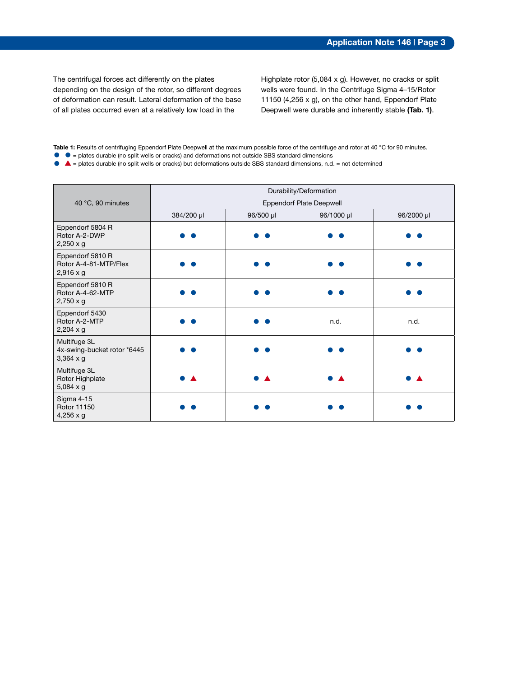The centrifugal forces act differently on the plates depending on the design of the rotor, so different degrees of deformation can result. Lateral deformation of the base of all plates occurred even at a relatively low load in the

Highplate rotor (5,084 x g). However, no cracks or split wells were found. In the Centrifuge Sigma 4–15/Rotor 11150 (4,256 x g), on the other hand, Eppendorf Plate Deepwell were durable and inherently stable **(Tab. 1)**.

**Table 1:** Results of centrifuging Eppendorf Plate Deepwell at the maximum possible force of the centrifuge and rotor at 40 °C for 90 minutes. • • plates durable (no split wells or cracks) and deformations not outside SBS standard dimensions

• ▲ = plates durable (no split wells or cracks) but deformations outside SBS standard dimensions, n.d. = not determined

|                                                                 | Durability/Deformation          |           |            |            |  |  |  |
|-----------------------------------------------------------------|---------------------------------|-----------|------------|------------|--|--|--|
| 40 °C, 90 minutes                                               | <b>Eppendorf Plate Deepwell</b> |           |            |            |  |  |  |
|                                                                 | 384/200 µl                      | 96/500 µl | 96/1000 µl | 96/2000 µl |  |  |  |
| Eppendorf 5804 R<br>Rotor A-2-DWP<br>$2,250 \times g$           |                                 |           |            |            |  |  |  |
| Eppendorf 5810 R<br>Rotor A-4-81-MTP/Flex<br>$2,916 \times g$   |                                 |           |            |            |  |  |  |
| Eppendorf 5810 R<br>Rotor A-4-62-MTP<br>$2,750 \times g$        |                                 |           |            |            |  |  |  |
| Eppendorf 5430<br>Rotor A-2-MTP<br>$2,204 \times g$             |                                 |           | n.d.       | n.d.       |  |  |  |
| Multifuge 3L<br>4x-swing-bucket rotor *6445<br>$3,364 \times g$ |                                 |           |            |            |  |  |  |
| Multifuge 3L<br>Rotor Highplate<br>$5,084 \times g$             |                                 |           |            |            |  |  |  |
| Sigma 4-15<br>Rotor 11150<br>$4,256 \times g$                   |                                 |           |            |            |  |  |  |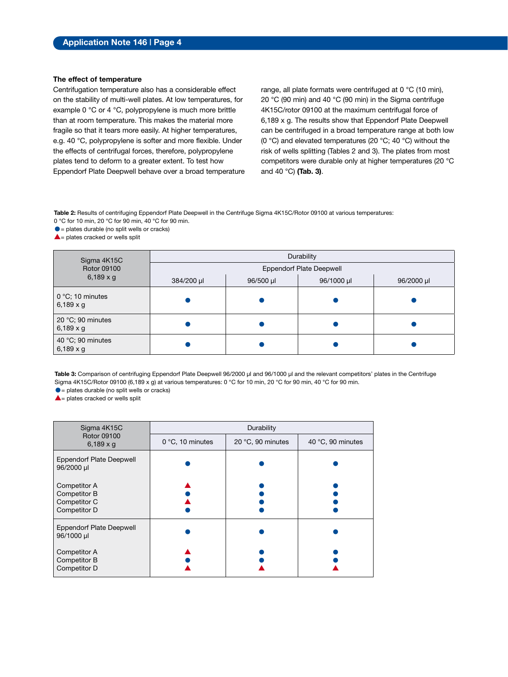#### **The effect of temperature**

Centrifugation temperature also has a considerable effect on the stability of multi-well plates. At low temperatures, for example 0 °C or 4 °C, polypropylene is much more brittle than at room temperature. This makes the material more fragile so that it tears more easily. At higher temperatures, e.g. 40 °C, polypropylene is softer and more flexible. Under the effects of centrifugal forces, therefore, polypropylene plates tend to deform to a greater extent. To test how Eppendorf Plate Deepwell behave over a broad temperature range, all plate formats were centrifuged at 0 °C (10 min), 20 °C (90 min) and 40 °C (90 min) in the Sigma centrifuge 4K15C/rotor 09100 at the maximum centrifugal force of 6,189 x g. The results show that Eppendorf Plate Deepwell can be centrifuged in a broad temperature range at both low (0 °C) and elevated temperatures (20 °C; 40 °C) without the risk of wells splitting (Tables 2 and 3). The plates from most competitors were durable only at higher temperatures (20 °C and 40 °C) **(Tab. 3)**.

**Table 2:** Results of centrifuging Eppendorf Plate Deepwell in the Centrifuge Sigma 4K15C/Rotor 09100 at various temperatures: 0 °C for 10 min, 20 °C for 90 min, 40 °C for 90 min.

 $\bullet$  = plates durable (no split wells or cracks)

 $\triangle$  = plates cracked or wells split

| Sigma 4K15C                                   | Durability                      |           |            |            |  |  |  |  |
|-----------------------------------------------|---------------------------------|-----------|------------|------------|--|--|--|--|
| Rotor 09100                                   | <b>Eppendorf Plate Deepwell</b> |           |            |            |  |  |  |  |
| $6,189 \times g$                              | 384/200 µl                      | 96/500 µl | 96/1000 µl | 96/2000 µl |  |  |  |  |
| $0^{\circ}$ C; 10 minutes<br>6,189 $\times$ g |                                 |           |            |            |  |  |  |  |
| 20 °C; 90 minutes<br>6,189 $\times$ g         |                                 |           |            |            |  |  |  |  |
| 40 °C; 90 minutes<br>6,189 $\times$ g         |                                 |           |            |            |  |  |  |  |

Table 3: Comparison of centrifuging Eppendorf Plate Deepwell 96/2000 µl and 96/1000 µl and the relevant competitors' plates in the Centrifuge Sigma 4K15C/Rotor 09100 (6,189 x g) at various temperatures: 0 °C for 10 min, 20 °C for 90 min, 40 °C for 90 min.

 $\bullet$  = plates durable (no split wells or cracks)

 $\triangle$  = plates cracked or wells split

| Sigma 4K15C                                                  | Durability       |                   |                   |  |  |  |
|--------------------------------------------------------------|------------------|-------------------|-------------------|--|--|--|
| Rotor 09100<br>6,189 $\times$ g                              | 0 °C, 10 minutes | 20 °C, 90 minutes | 40 °C, 90 minutes |  |  |  |
| <b>Eppendorf Plate Deepwell</b><br>96/2000 µl                |                  |                   |                   |  |  |  |
| Competitor A<br>Competitor B<br>Competitor C<br>Competitor D |                  |                   |                   |  |  |  |
| <b>Eppendorf Plate Deepwell</b><br>96/1000 µl                |                  |                   |                   |  |  |  |
| Competitor A<br>Competitor B<br>Competitor D                 |                  |                   |                   |  |  |  |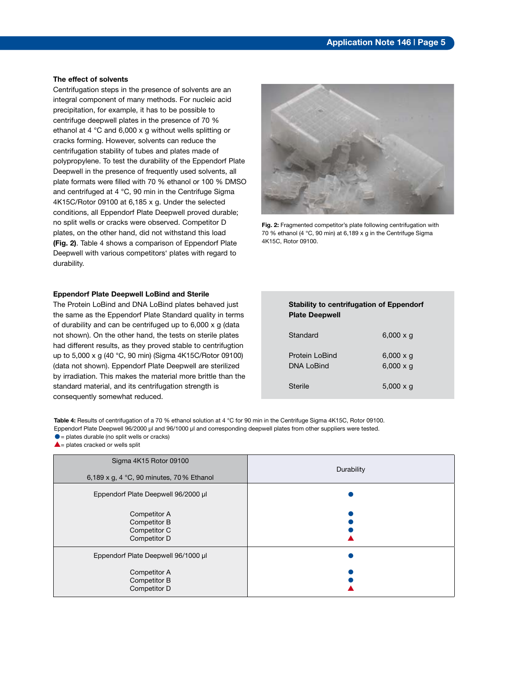#### **The effect of solvents**

Centrifugation steps in the presence of solvents are an integral component of many methods. For nucleic acid precipitation, for example, it has to be possible to centrifuge deepwell plates in the presence of 70 % ethanol at 4 °C and 6,000 x g without wells splitting or cracks forming. However, solvents can reduce the centrifugation stability of tubes and plates made of polypropylene. To test the durability of the Eppendorf Plate Deepwell in the presence of frequently used solvents, all plate formats were filled with 70 % ethanol or 100 % DMSO and centrifuged at 4 °C, 90 min in the Centrifuge Sigma 4K15C/Rotor 09100 at 6,185 x g. Under the selected conditions, all Eppendorf Plate Deepwell proved durable; no split wells or cracks were observed. Competitor D plates, on the other hand, did not withstand this load **(Fig. 2)**. Table 4 shows a comparison of Eppendorf Plate Deepwell with various competitors' plates with regard to durability.

#### **Eppendorf Plate Deepwell LoBind and Sterile**

The Protein LoBind and DNA LoBind plates behaved just the same as the Eppendorf Plate Standard quality in terms of durability and can be centrifuged up to 6,000 x g (data not shown). On the other hand, the tests on sterile plates had different results, as they proved stable to centrifugtion up to 5,000 x g (40 °C, 90 min) (Sigma 4K15C/Rotor 09100) (data not shown). Eppendorf Plate Deepwell are sterilized by irradiation. This makes the material more brittle than the standard material, and its centrifugation strength is consequently somewhat reduced.



**Fig. 2:** Fragmented competitor's plate following centrifugation with 70 % ethanol (4 °C, 90 min) at 6,189 x g in the Centrifuge Sigma 4K15C, Rotor 09100.

| Standard                            | $6,000 \times q$                     |
|-------------------------------------|--------------------------------------|
| Protein LoBind<br><b>DNA LoBind</b> | $6,000 \times g$<br>$6,000 \times g$ |
| <b>Sterile</b>                      | $5,000 \times g$                     |

**Stability to centrifugation of Eppendorf** 

 **Plate Deepwell**

Table 4: Results of centrifugation of a 70 % ethanol solution at 4 °C for 90 min in the Centrifuge Sigma 4K15C, Rotor 09100. Eppendorf Plate Deepwell 96/2000 µl and 96/1000 µl and corresponding deepwell plates from other suppliers were tested.  $\bullet$  = plates durable (no split wells or cracks)

 $\triangle$ = plates cracked or wells split

| Sigma 4K15 Rotor 09100<br>6,189 x g, 4 °C, 90 minutes, 70 % Ethanol | Durability |
|---------------------------------------------------------------------|------------|
| Eppendorf Plate Deepwell 96/2000 µl                                 |            |
| Competitor A<br>Competitor B<br>Competitor C<br>Competitor D        |            |
| Eppendorf Plate Deepwell 96/1000 µl                                 |            |
| Competitor A<br>Competitor B<br>Competitor D                        |            |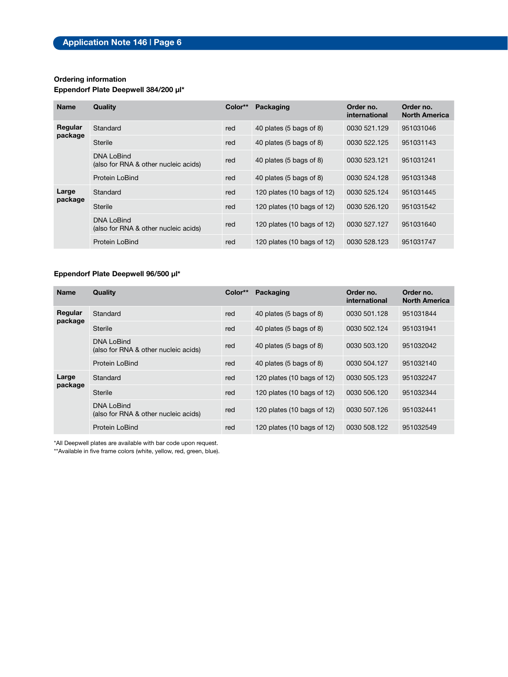#### **Ordering information**

#### **Eppendorf Plate Deepwell 384/200 µl\***

| <b>Name</b>      | Quality                                                   | Color** | Packaging                             | Order no.<br>international | Order no.<br><b>North America</b> |
|------------------|-----------------------------------------------------------|---------|---------------------------------------|----------------------------|-----------------------------------|
| Regular          | Standard                                                  | red     | 40 plates (5 bags of 8)               | 0030 521.129               | 951031046                         |
| package          | Sterile                                                   | red     | 40 plates (5 bags of 8)               | 0030 522.125               | 951031143                         |
|                  | <b>DNA LoBind</b><br>(also for RNA & other nucleic acids) | red     | 40 plates (5 bags of 8)               | 0030 523.121               | 951031241                         |
|                  | Protein LoBind                                            | red     | 40 plates (5 bags of 8)               | 0030 524.128               | 951031348                         |
| Large<br>package | Standard                                                  | red     | 120 plates (10 bags of 12)            | 0030 525.124               | 951031445                         |
|                  | Sterile                                                   | red     | 120 plates (10 bags of 12)            | 0030 526.120               | 951031542                         |
|                  | <b>DNA LoBind</b><br>(also for RNA & other nucleic acids) | red     | 120 plates $(10 \text{ bags of } 12)$ | 0030 527.127               | 951031640                         |
|                  | Protein LoBind                                            | red     | 120 plates (10 bags of 12)            | 0030 528.123               | 951031747                         |

### **Eppendorf Plate Deepwell 96/500 µl\***

| <b>Name</b>      | Quality                                                   | Color** | Packaging                  | Order no.<br>international | Order no.<br><b>North America</b> |
|------------------|-----------------------------------------------------------|---------|----------------------------|----------------------------|-----------------------------------|
| Regular          | Standard                                                  | red     | 40 plates (5 bags of 8)    | 0030 501.128               | 951031844                         |
| package          | Sterile                                                   | red     | 40 plates (5 bags of 8)    | 0030 502.124               | 951031941                         |
|                  | DNA LoBind<br>(also for RNA & other nucleic acids)        | red     | 40 plates (5 bags of 8)    | 0030 503.120               | 951032042                         |
|                  | Protein LoBind                                            | red     | 40 plates (5 bags of 8)    | 0030 504.127               | 951032140                         |
| Large<br>package | Standard                                                  | red     | 120 plates (10 bags of 12) | 0030 505.123               | 951032247                         |
|                  | Sterile                                                   | red     | 120 plates (10 bags of 12) | 0030 506.120               | 951032344                         |
|                  | <b>DNA LoBind</b><br>(also for RNA & other nucleic acids) | red     | 120 plates (10 bags of 12) | 0030 507.126               | 951032441                         |
|                  | Protein LoBind                                            | red     | 120 plates (10 bags of 12) | 0030 508.122               | 951032549                         |

\*All Deepwell plates are available with bar code upon request.

\*\*Available in five frame colors (white, yellow, red, green, blue).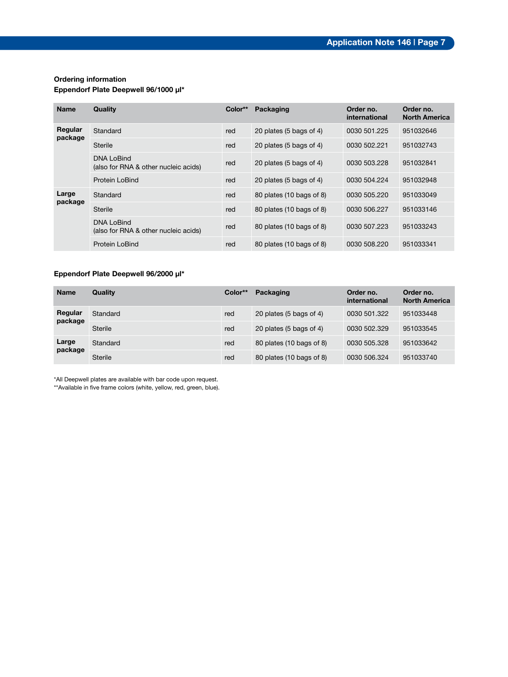#### **Ordering information**

#### **Eppendorf Plate Deepwell 96/1000 µl\***

| <b>Name</b>      | Quality                                                   | Color** | Packaging                | Order no.<br>international | Order no.<br><b>North America</b> |
|------------------|-----------------------------------------------------------|---------|--------------------------|----------------------------|-----------------------------------|
| Regular          | Standard                                                  | red     | 20 plates (5 bags of 4)  | 0030 501.225               | 951032646                         |
| package          | Sterile                                                   | red     | 20 plates (5 bags of 4)  | 0030 502.221               | 951032743                         |
|                  | <b>DNA LoBind</b><br>(also for RNA & other nucleic acids) | red     | 20 plates (5 bags of 4)  | 0030 503.228               | 951032841                         |
|                  | <b>Protein LoBind</b>                                     | red     | 20 plates (5 bags of 4)  | 0030 504 224               | 951032948                         |
| Large<br>package | Standard                                                  | red     | 80 plates (10 bags of 8) | 0030 505.220               | 951033049                         |
|                  | Sterile                                                   | red     | 80 plates (10 bags of 8) | 0030 506.227               | 951033146                         |
|                  | <b>DNA LoBind</b><br>(also for RNA & other nucleic acids) | red     | 80 plates (10 bags of 8) | 0030 507.223               | 951033243                         |
|                  | Protein LoBind                                            | red     | 80 plates (10 bags of 8) | 0030 508.220               | 951033341                         |

### **Eppendorf Plate Deepwell 96/2000 µl\***

| <b>Name</b>        | Quality  | Color** | Packaging                | Order no.<br>international | Order no.<br><b>North America</b> |
|--------------------|----------|---------|--------------------------|----------------------------|-----------------------------------|
| Regular<br>package | Standard | red     | 20 plates (5 bags of 4)  | 0030 501.322               | 951033448                         |
|                    | Sterile  | red     | 20 plates (5 bags of 4)  | 0030 502.329               | 951033545                         |
| Large<br>package   | Standard | red     | 80 plates (10 bags of 8) | 0030 505.328               | 951033642                         |
|                    | Sterile  | red     | 80 plates (10 bags of 8) | 0030 506.324               | 951033740                         |

\*All Deepwell plates are available with bar code upon request.

\*\*Available in five frame colors (white, yellow, red, green, blue).